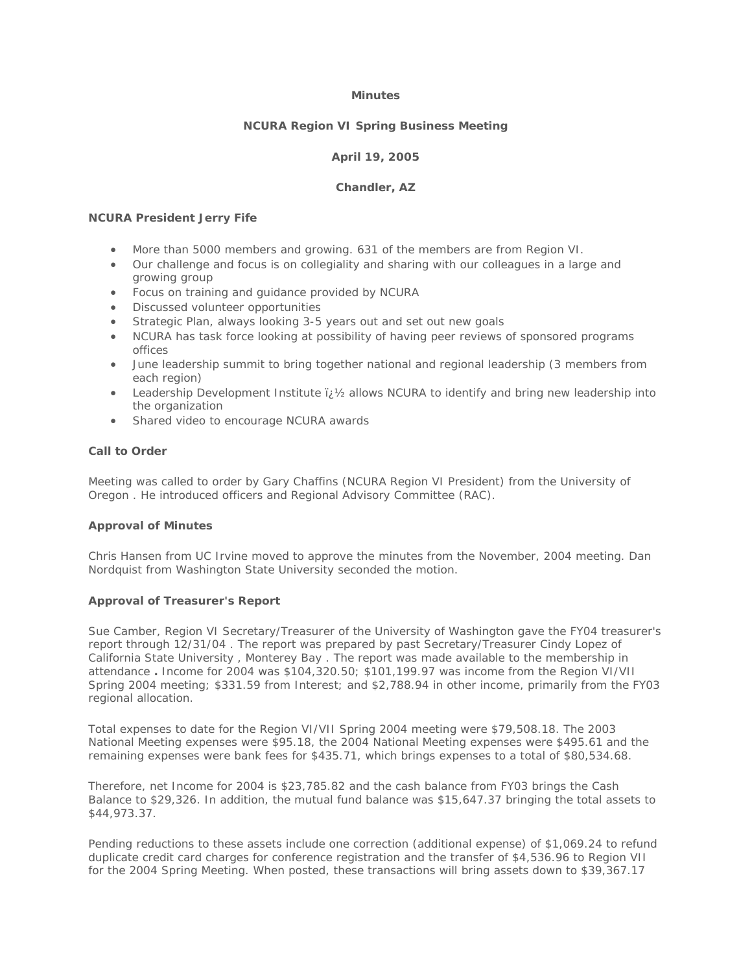## **Minutes**

# **NCURA Region VI Spring Business Meeting**

# **April 19, 2005**

#### **Chandler, AZ**

# **NCURA President Jerry Fife**

- More than 5000 members and growing. 631 of the members are from Region VI.
- Our challenge and focus is on collegiality and sharing with our colleagues in a large and growing group
- Focus on training and guidance provided by NCURA
- Discussed volunteer opportunities
- Strategic Plan, always looking 3-5 years out and set out new goals
- NCURA has task force looking at possibility of having peer reviews of sponsored programs offices
- June leadership summit to bring together national and regional leadership (3 members from each region)
- Leadership Development Institute  $\ddot{v}$   $\ddot{v}$  allows NCURA to identify and bring new leadership into the organization
- Shared video to encourage NCURA awards

## **Call to Order**

Meeting was called to order by Gary Chaffins (NCURA Region VI President) from the University of Oregon . He introduced officers and Regional Advisory Committee (RAC).

#### **Approval of Minutes**

Chris Hansen from UC Irvine moved to approve the minutes from the November, 2004 meeting. Dan Nordquist from Washington State University seconded the motion.

#### **Approval of Treasurer's Report**

Sue Camber, Region VI Secretary/Treasurer of the University of Washington gave the FY04 treasurer's report through 12/31/04 . The report was prepared by past Secretary/Treasurer Cindy Lopez of California State University , Monterey Bay . The report was made available to the membership in attendance **.** Income for 2004 was \$104,320.50; \$101,199.97 was income from the Region VI/VII Spring 2004 meeting; \$331.59 from Interest; and \$2,788.94 in other income, primarily from the FY03 regional allocation.

Total expenses to date for the Region VI/VII Spring 2004 meeting were \$79,508.18. The 2003 National Meeting expenses were \$95.18, the 2004 National Meeting expenses were \$495.61 and the remaining expenses were bank fees for \$435.71, which brings expenses to a total of \$80,534.68.

Therefore, net Income for 2004 is \$23,785.82 and the cash balance from FY03 brings the Cash Balance to \$29,326. In addition, the mutual fund balance was \$15,647.37 bringing the total assets to \$44,973.37.

Pending reductions to these assets include one correction (additional expense) of \$1,069.24 to refund duplicate credit card charges for conference registration and the transfer of \$4,536.96 to Region VII for the 2004 Spring Meeting. When posted, these transactions will bring assets down to \$39,367.17